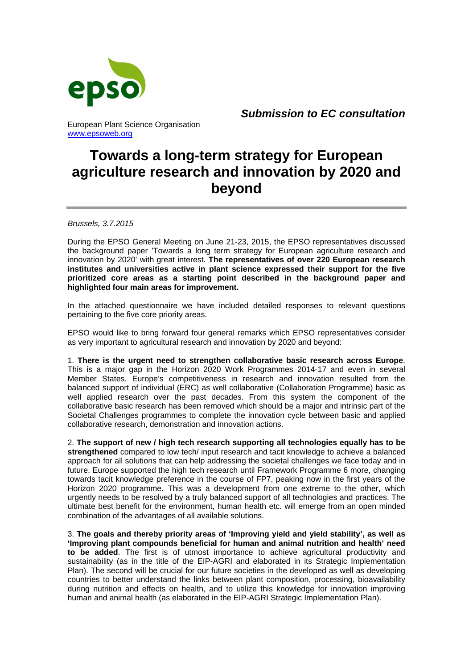

*Submission to EC consultation*

# **Towards a long-term strategy for European agriculture research and innovation by 2020 and beyond**

*Brussels, 3.7.2015* 

www.epsoweb.org

During the EPSO General Meeting on June 21-23, 2015, the EPSO representatives discussed the background paper 'Towards a long term strategy for European agriculture research and innovation by 2020' with great interest. **The representatives of over 220 European research institutes and universities active in plant science expressed their support for the five prioritized core areas as a starting point described in the background paper and highlighted four main areas for improvement.**

In the attached questionnaire we have included detailed responses to relevant questions pertaining to the five core priority areas.

EPSO would like to bring forward four general remarks which EPSO representatives consider as very important to agricultural research and innovation by 2020 and beyond:

1. **There is the urgent need to strengthen collaborative basic research across Europe**. This is a major gap in the Horizon 2020 Work Programmes 2014-17 and even in several Member States. Europe's competitiveness in research and innovation resulted from the balanced support of individual (ERC) as well collaborative (Collaboration Programme) basic as well applied research over the past decades. From this system the component of the collaborative basic research has been removed which should be a major and intrinsic part of the Societal Challenges programmes to complete the innovation cycle between basic and applied collaborative research, demonstration and innovation actions.

2. **The support of new / high tech research supporting all technologies equally has to be strengthened** compared to low tech/ input research and tacit knowledge to achieve a balanced approach for all solutions that can help addressing the societal challenges we face today and in future. Europe supported the high tech research until Framework Programme 6 more, changing towards tacit knowledge preference in the course of FP7, peaking now in the first years of the Horizon 2020 programme. This was a development from one extreme to the other, which urgently needs to be resolved by a truly balanced support of all technologies and practices. The ultimate best benefit for the environment, human health etc. will emerge from an open minded combination of the advantages of all available solutions.

3. **The goals and thereby priority areas of 'Improving yield and yield stability', as well as 'Improving plant compounds beneficial for human and animal nutrition and health' need to be added**. The first is of utmost importance to achieve agricultural productivity and sustainability (as in the title of the EIP-AGRI and elaborated in its Strategic Implementation Plan). The second will be crucial for our future societies in the developed as well as developing countries to better understand the links between plant composition, processing, bioavailability during nutrition and effects on health, and to utilize this knowledge for innovation improving human and animal health (as elaborated in the EIP-AGRI Strategic Implementation Plan).